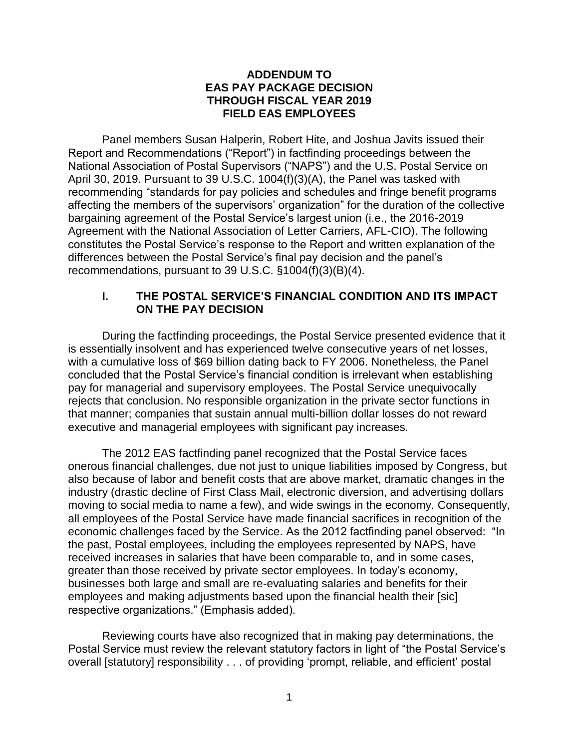#### **ADDENDUM TO EAS PAY PACKAGE DECISION THROUGH FISCAL YEAR 2019 FIELD EAS EMPLOYEES**

Panel members Susan Halperin, Robert Hite, and Joshua Javits issued their Report and Recommendations ("Report") in factfinding proceedings between the National Association of Postal Supervisors ("NAPS") and the U.S. Postal Service on April 30, 2019. Pursuant to 39 U.S.C. 1004(f)(3)(A), the Panel was tasked with recommending "standards for pay policies and schedules and fringe benefit programs affecting the members of the supervisors' organization" for the duration of the collective bargaining agreement of the Postal Service's largest union (i.e., the 2016-2019 Agreement with the National Association of Letter Carriers, AFL-CIO). The following constitutes the Postal Service's response to the Report and written explanation of the differences between the Postal Service's final pay decision and the panel's recommendations, pursuant to 39 U.S.C. §1004(f)(3)(B)(4).

#### **I. THE POSTAL SERVICE'S FINANCIAL CONDITION AND ITS IMPACT ON THE PAY DECISION**

During the factfinding proceedings, the Postal Service presented evidence that it is essentially insolvent and has experienced twelve consecutive years of net losses, with a cumulative loss of \$69 billion dating back to FY 2006. Nonetheless, the Panel concluded that the Postal Service's financial condition is irrelevant when establishing pay for managerial and supervisory employees. The Postal Service unequivocally rejects that conclusion. No responsible organization in the private sector functions in that manner; companies that sustain annual multi-billion dollar losses do not reward executive and managerial employees with significant pay increases.

The 2012 EAS factfinding panel recognized that the Postal Service faces onerous financial challenges, due not just to unique liabilities imposed by Congress, but also because of labor and benefit costs that are above market, dramatic changes in the industry (drastic decline of First Class Mail, electronic diversion, and advertising dollars moving to social media to name a few), and wide swings in the economy. Consequently, all employees of the Postal Service have made financial sacrifices in recognition of the economic challenges faced by the Service. As the 2012 factfinding panel observed: "In the past, Postal employees, including the employees represented by NAPS, have received increases in salaries that have been comparable to, and in some cases, greater than those received by private sector employees. In today's economy, businesses both large and small are re-evaluating salaries and benefits for their employees and making adjustments based upon the financial health their [sic] respective organizations." (Emphasis added).

Reviewing courts have also recognized that in making pay determinations, the Postal Service must review the relevant statutory factors in light of "the Postal Service's overall [statutory] responsibility . . . of providing 'prompt, reliable, and efficient' postal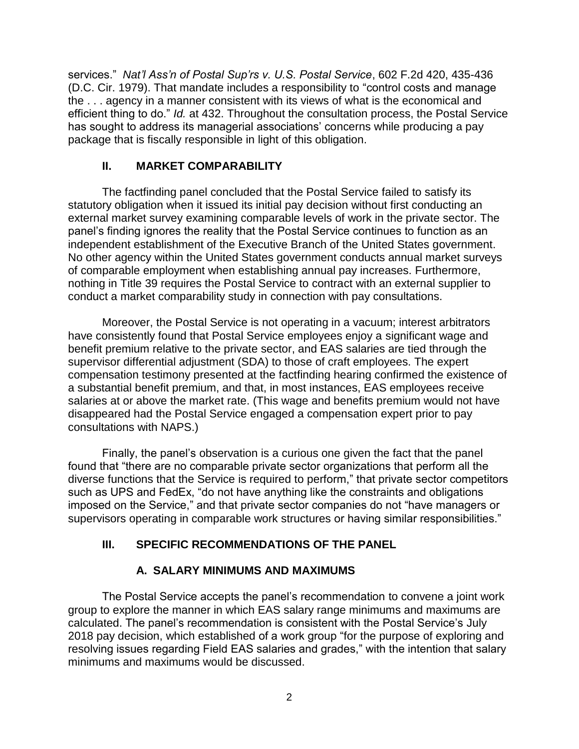services." *Nat'l Ass'n of Postal Sup'rs v. U.S. Postal Service*, 602 F.2d 420, 435-436 (D.C. Cir. 1979). That mandate includes a responsibility to "control costs and manage the . . . agency in a manner consistent with its views of what is the economical and efficient thing to do." *Id.* at 432. Throughout the consultation process, the Postal Service has sought to address its managerial associations' concerns while producing a pay package that is fiscally responsible in light of this obligation.

## **II. MARKET COMPARABILITY**

The factfinding panel concluded that the Postal Service failed to satisfy its statutory obligation when it issued its initial pay decision without first conducting an external market survey examining comparable levels of work in the private sector. The panel's finding ignores the reality that the Postal Service continues to function as an independent establishment of the Executive Branch of the United States government. No other agency within the United States government conducts annual market surveys of comparable employment when establishing annual pay increases. Furthermore, nothing in Title 39 requires the Postal Service to contract with an external supplier to conduct a market comparability study in connection with pay consultations.

Moreover, the Postal Service is not operating in a vacuum; interest arbitrators have consistently found that Postal Service employees enjoy a significant wage and benefit premium relative to the private sector, and EAS salaries are tied through the supervisor differential adjustment (SDA) to those of craft employees. The expert compensation testimony presented at the factfinding hearing confirmed the existence of a substantial benefit premium, and that, in most instances, EAS employees receive salaries at or above the market rate. (This wage and benefits premium would not have disappeared had the Postal Service engaged a compensation expert prior to pay consultations with NAPS.)

Finally, the panel's observation is a curious one given the fact that the panel found that "there are no comparable private sector organizations that perform all the diverse functions that the Service is required to perform," that private sector competitors such as UPS and FedEx, "do not have anything like the constraints and obligations imposed on the Service," and that private sector companies do not "have managers or supervisors operating in comparable work structures or having similar responsibilities."

# **III. SPECIFIC RECOMMENDATIONS OF THE PANEL**

# **A. SALARY MINIMUMS AND MAXIMUMS**

The Postal Service accepts the panel's recommendation to convene a joint work group to explore the manner in which EAS salary range minimums and maximums are calculated. The panel's recommendation is consistent with the Postal Service's July 2018 pay decision, which established of a work group "for the purpose of exploring and resolving issues regarding Field EAS salaries and grades," with the intention that salary minimums and maximums would be discussed.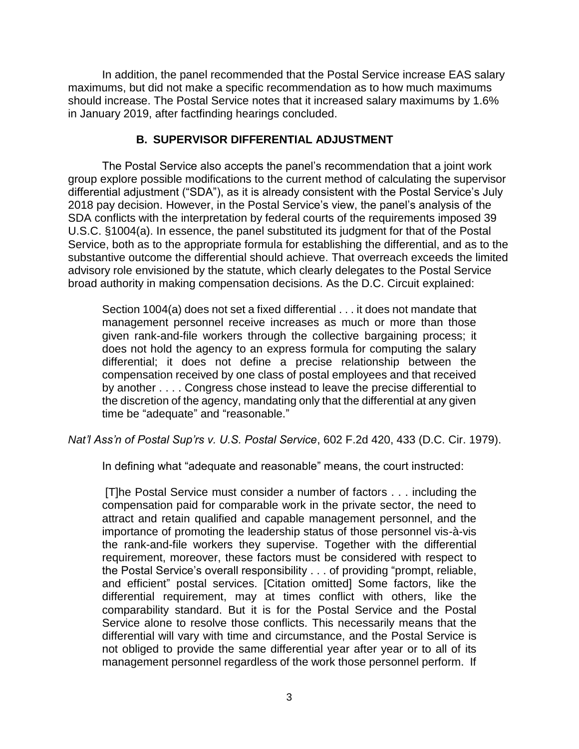In addition, the panel recommended that the Postal Service increase EAS salary maximums, but did not make a specific recommendation as to how much maximums should increase. The Postal Service notes that it increased salary maximums by 1.6% in January 2019, after factfinding hearings concluded.

### **B. SUPERVISOR DIFFERENTIAL ADJUSTMENT**

The Postal Service also accepts the panel's recommendation that a joint work group explore possible modifications to the current method of calculating the supervisor differential adjustment ("SDA"), as it is already consistent with the Postal Service's July 2018 pay decision. However, in the Postal Service's view, the panel's analysis of the SDA conflicts with the interpretation by federal courts of the requirements imposed 39 U.S.C. §1004(a). In essence, the panel substituted its judgment for that of the Postal Service, both as to the appropriate formula for establishing the differential, and as to the substantive outcome the differential should achieve. That overreach exceeds the limited advisory role envisioned by the statute, which clearly delegates to the Postal Service broad authority in making compensation decisions. As the D.C. Circuit explained:

Section 1004(a) does not set a fixed differential . . . it does not mandate that management personnel receive increases as much or more than those given rank-and-file workers through the collective bargaining process; it does not hold the agency to an express formula for computing the salary differential; it does not define a precise relationship between the compensation received by one class of postal employees and that received by another . . . . Congress chose instead to leave the precise differential to the discretion of the agency, mandating only that the differential at any given time be "adequate" and "reasonable."

*Nat'l Ass'n of Postal Sup'rs v. U.S. Postal Service*, 602 F.2d 420, 433 (D.C. Cir. 1979).

In defining what "adequate and reasonable" means, the court instructed:

[T]he Postal Service must consider a number of factors . . . including the compensation paid for comparable work in the private sector, the need to attract and retain qualified and capable management personnel, and the importance of promoting the leadership status of those personnel vis-à-vis the rank-and-file workers they supervise. Together with the differential requirement, moreover, these factors must be considered with respect to the Postal Service's overall responsibility . . . of providing "prompt, reliable, and efficient" postal services. [Citation omitted] Some factors, like the differential requirement, may at times conflict with others, like the comparability standard. But it is for the Postal Service and the Postal Service alone to resolve those conflicts. This necessarily means that the differential will vary with time and circumstance, and the Postal Service is not obliged to provide the same differential year after year or to all of its management personnel regardless of the work those personnel perform. If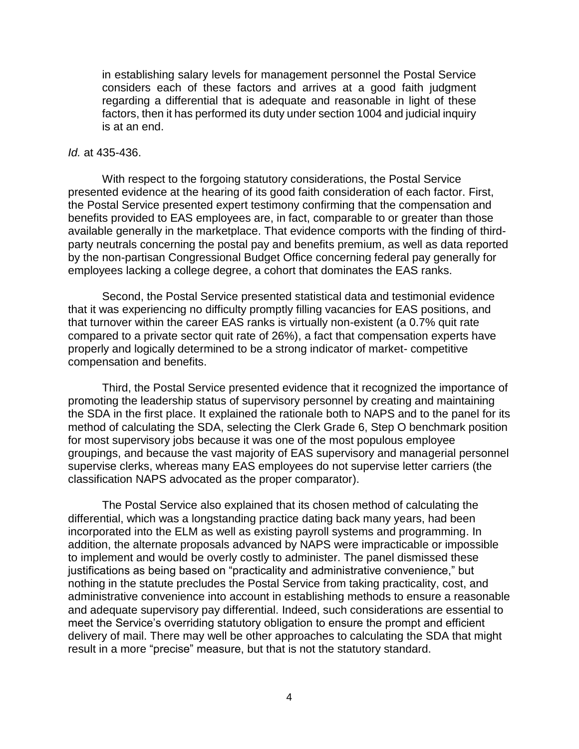in establishing salary levels for management personnel the Postal Service considers each of these factors and arrives at a good faith judgment regarding a differential that is adequate and reasonable in light of these factors, then it has performed its duty under section 1004 and judicial inquiry is at an end.

#### *Id.* at 435-436.

With respect to the forgoing statutory considerations, the Postal Service presented evidence at the hearing of its good faith consideration of each factor. First, the Postal Service presented expert testimony confirming that the compensation and benefits provided to EAS employees are, in fact, comparable to or greater than those available generally in the marketplace. That evidence comports with the finding of thirdparty neutrals concerning the postal pay and benefits premium, as well as data reported by the non-partisan Congressional Budget Office concerning federal pay generally for employees lacking a college degree, a cohort that dominates the EAS ranks.

Second, the Postal Service presented statistical data and testimonial evidence that it was experiencing no difficulty promptly filling vacancies for EAS positions, and that turnover within the career EAS ranks is virtually non-existent (a 0.7% quit rate compared to a private sector quit rate of 26%), a fact that compensation experts have properly and logically determined to be a strong indicator of market- competitive compensation and benefits.

Third, the Postal Service presented evidence that it recognized the importance of promoting the leadership status of supervisory personnel by creating and maintaining the SDA in the first place. It explained the rationale both to NAPS and to the panel for its method of calculating the SDA, selecting the Clerk Grade 6, Step O benchmark position for most supervisory jobs because it was one of the most populous employee groupings, and because the vast majority of EAS supervisory and managerial personnel supervise clerks, whereas many EAS employees do not supervise letter carriers (the classification NAPS advocated as the proper comparator).

The Postal Service also explained that its chosen method of calculating the differential, which was a longstanding practice dating back many years, had been incorporated into the ELM as well as existing payroll systems and programming. In addition, the alternate proposals advanced by NAPS were impracticable or impossible to implement and would be overly costly to administer. The panel dismissed these justifications as being based on "practicality and administrative convenience," but nothing in the statute precludes the Postal Service from taking practicality, cost, and administrative convenience into account in establishing methods to ensure a reasonable and adequate supervisory pay differential. Indeed, such considerations are essential to meet the Service's overriding statutory obligation to ensure the prompt and efficient delivery of mail. There may well be other approaches to calculating the SDA that might result in a more "precise" measure, but that is not the statutory standard.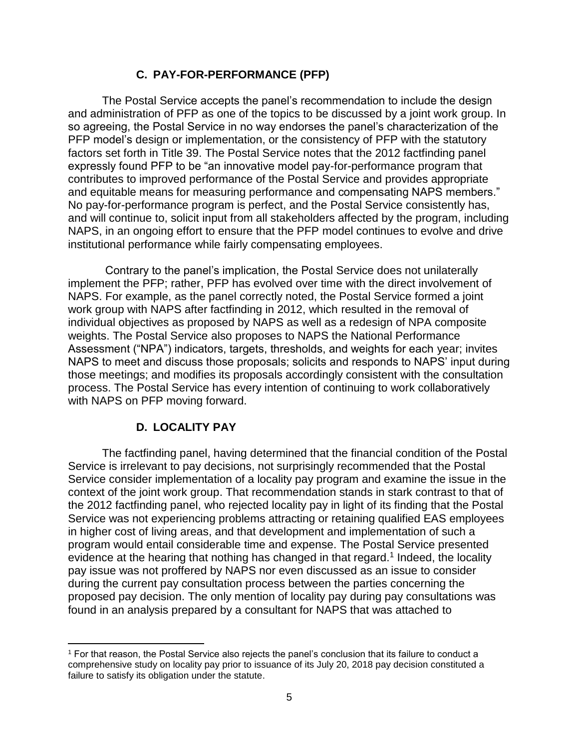### **C. PAY-FOR-PERFORMANCE (PFP)**

The Postal Service accepts the panel's recommendation to include the design and administration of PFP as one of the topics to be discussed by a joint work group. In so agreeing, the Postal Service in no way endorses the panel's characterization of the PFP model's design or implementation, or the consistency of PFP with the statutory factors set forth in Title 39. The Postal Service notes that the 2012 factfinding panel expressly found PFP to be "an innovative model pay-for-performance program that contributes to improved performance of the Postal Service and provides appropriate and equitable means for measuring performance and compensating NAPS members." No pay-for-performance program is perfect, and the Postal Service consistently has, and will continue to, solicit input from all stakeholders affected by the program, including NAPS, in an ongoing effort to ensure that the PFP model continues to evolve and drive institutional performance while fairly compensating employees.

Contrary to the panel's implication, the Postal Service does not unilaterally implement the PFP; rather, PFP has evolved over time with the direct involvement of NAPS. For example, as the panel correctly noted, the Postal Service formed a joint work group with NAPS after factfinding in 2012, which resulted in the removal of individual objectives as proposed by NAPS as well as a redesign of NPA composite weights. The Postal Service also proposes to NAPS the National Performance Assessment ("NPA") indicators, targets, thresholds, and weights for each year; invites NAPS to meet and discuss those proposals; solicits and responds to NAPS' input during those meetings; and modifies its proposals accordingly consistent with the consultation process. The Postal Service has every intention of continuing to work collaboratively with NAPS on PFP moving forward.

# **D. LOCALITY PAY**

 $\overline{a}$ 

The factfinding panel, having determined that the financial condition of the Postal Service is irrelevant to pay decisions, not surprisingly recommended that the Postal Service consider implementation of a locality pay program and examine the issue in the context of the joint work group. That recommendation stands in stark contrast to that of the 2012 factfinding panel, who rejected locality pay in light of its finding that the Postal Service was not experiencing problems attracting or retaining qualified EAS employees in higher cost of living areas, and that development and implementation of such a program would entail considerable time and expense. The Postal Service presented evidence at the hearing that nothing has changed in that regard.<sup>1</sup> Indeed, the locality pay issue was not proffered by NAPS nor even discussed as an issue to consider during the current pay consultation process between the parties concerning the proposed pay decision. The only mention of locality pay during pay consultations was found in an analysis prepared by a consultant for NAPS that was attached to

<sup>1</sup> For that reason, the Postal Service also rejects the panel's conclusion that its failure to conduct a comprehensive study on locality pay prior to issuance of its July 20, 2018 pay decision constituted a failure to satisfy its obligation under the statute.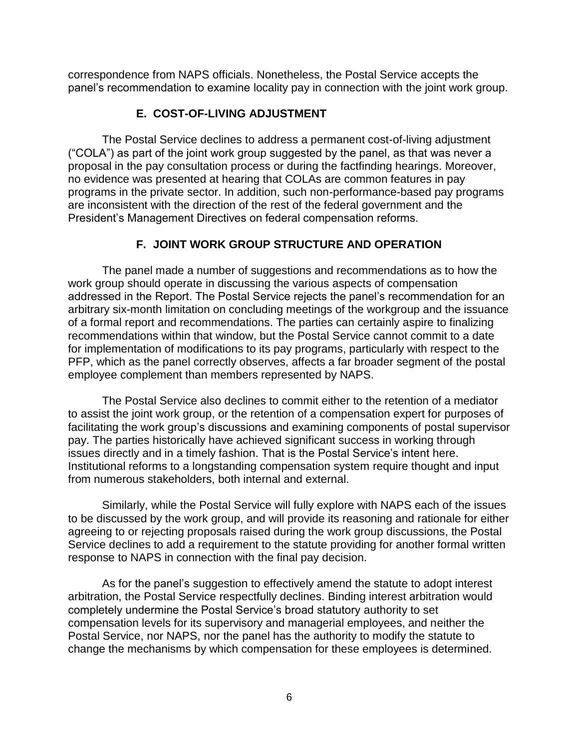correspondence from NAPS officials. Nonetheless, the Postal Service accepts the panel's recommendation to examine locality pay in connection with the joint work group.

# **E. COST-OF-LIVING ADJUSTMENT**

The Postal Service declines to address a permanent cost-of-living adjustment ("COLA") as part of the joint work group suggested by the panel, as that was never a proposal in the pay consultation process or during the factfinding hearings. Moreover, no evidence was presented at hearing that COLAs are common features in pay programs in the private sector. In addition, such non-performance-based pay programs are inconsistent with the direction of the rest of the federal government and the President's Management Directives on federal compensation reforms.

# **F. JOINT WORK GROUP STRUCTURE AND OPERATION**

The panel made a number of suggestions and recommendations as to how the work group should operate in discussing the various aspects of compensation addressed in the Report. The Postal Service rejects the panel's recommendation for an arbitrary six-month limitation on concluding meetings of the workgroup and the issuance of a formal report and recommendations. The parties can certainly aspire to finalizing recommendations within that window, but the Postal Service cannot commit to a date for implementation of modifications to its pay programs, particularly with respect to the PFP, which as the panel correctly observes, affects a far broader segment of the postal employee complement than members represented by NAPS.

The Postal Service also declines to commit either to the retention of a mediator to assist the joint work group, or the retention of a compensation expert for purposes of facilitating the work group's discussions and examining components of postal supervisor pay. The parties historically have achieved significant success in working through issues directly and in a timely fashion. That is the Postal Service's intent here. Institutional reforms to a longstanding compensation system require thought and input from numerous stakeholders, both internal and external.

Similarly, while the Postal Service will fully explore with NAPS each of the issues to be discussed by the work group, and will provide its reasoning and rationale for either agreeing to or rejecting proposals raised during the work group discussions, the Postal Service declines to add a requirement to the statute providing for another formal written response to NAPS in connection with the final pay decision.

As for the panel's suggestion to effectively amend the statute to adopt interest arbitration, the Postal Service respectfully declines. Binding interest arbitration would completely undermine the Postal Service's broad statutory authority to set compensation levels for its supervisory and managerial employees, and neither the Postal Service, nor NAPS, nor the panel has the authority to modify the statute to change the mechanisms by which compensation for these employees is determined.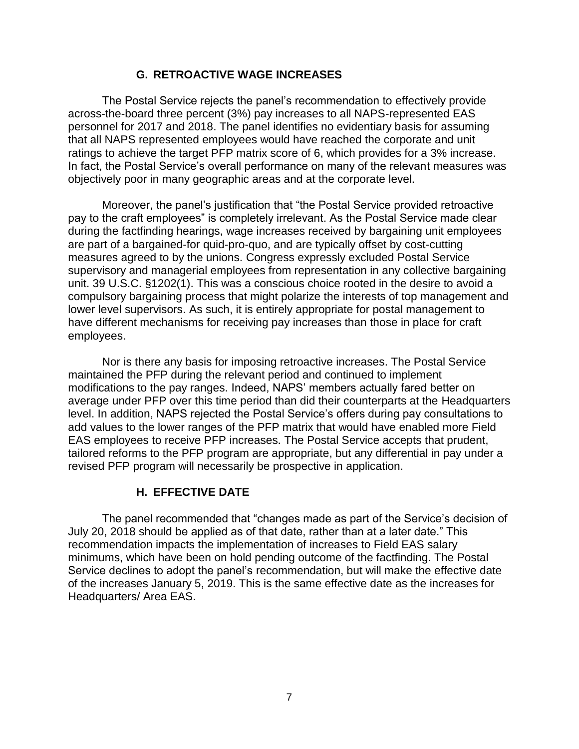### **G. RETROACTIVE WAGE INCREASES**

The Postal Service rejects the panel's recommendation to effectively provide across-the-board three percent (3%) pay increases to all NAPS-represented EAS personnel for 2017 and 2018. The panel identifies no evidentiary basis for assuming that all NAPS represented employees would have reached the corporate and unit ratings to achieve the target PFP matrix score of 6, which provides for a 3% increase. In fact, the Postal Service's overall performance on many of the relevant measures was objectively poor in many geographic areas and at the corporate level.

Moreover, the panel's justification that "the Postal Service provided retroactive pay to the craft employees" is completely irrelevant. As the Postal Service made clear during the factfinding hearings, wage increases received by bargaining unit employees are part of a bargained-for quid-pro-quo, and are typically offset by cost-cutting measures agreed to by the unions. Congress expressly excluded Postal Service supervisory and managerial employees from representation in any collective bargaining unit. 39 U.S.C. §1202(1). This was a conscious choice rooted in the desire to avoid a compulsory bargaining process that might polarize the interests of top management and lower level supervisors. As such, it is entirely appropriate for postal management to have different mechanisms for receiving pay increases than those in place for craft employees.

Nor is there any basis for imposing retroactive increases. The Postal Service maintained the PFP during the relevant period and continued to implement modifications to the pay ranges. Indeed, NAPS' members actually fared better on average under PFP over this time period than did their counterparts at the Headquarters level. In addition, NAPS rejected the Postal Service's offers during pay consultations to add values to the lower ranges of the PFP matrix that would have enabled more Field EAS employees to receive PFP increases. The Postal Service accepts that prudent, tailored reforms to the PFP program are appropriate, but any differential in pay under a revised PFP program will necessarily be prospective in application.

# **H. EFFECTIVE DATE**

The panel recommended that "changes made as part of the Service's decision of July 20, 2018 should be applied as of that date, rather than at a later date." This recommendation impacts the implementation of increases to Field EAS salary minimums, which have been on hold pending outcome of the factfinding. The Postal Service declines to adopt the panel's recommendation, but will make the effective date of the increases January 5, 2019. This is the same effective date as the increases for Headquarters/ Area EAS.